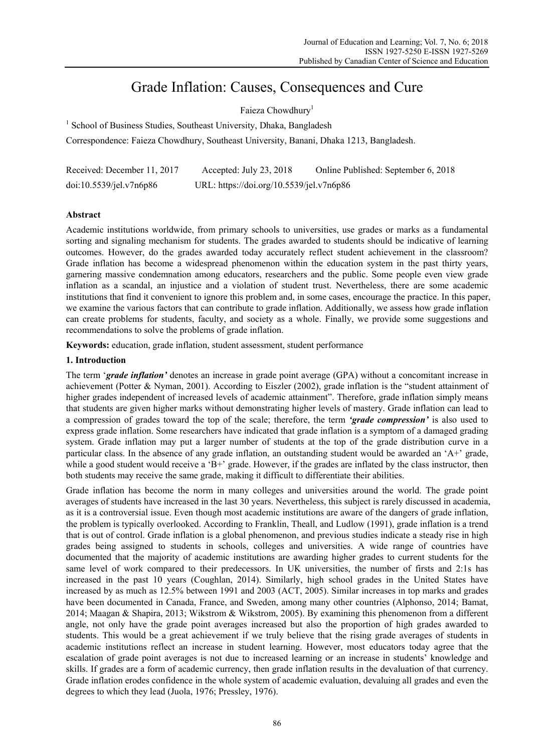# Grade Inflation: Causes, Consequences and Cure

# Faieza Chowdhury<sup>1</sup>

<sup>1</sup> School of Business Studies, Southeast University, Dhaka, Bangladesh

Correspondence: Faieza Chowdhury, Southeast University, Banani, Dhaka 1213, Bangladesh.

| Received: December 11, 2017 | Accepted: July 23, 2018                  | Online Published: September 6, 2018 |
|-----------------------------|------------------------------------------|-------------------------------------|
| doi:10.5539/jet.v7n6p86     | URL: https://doi.org/10.5539/jel.v7n6p86 |                                     |

# **Abstract**

Academic institutions worldwide, from primary schools to universities, use grades or marks as a fundamental sorting and signaling mechanism for students. The grades awarded to students should be indicative of learning outcomes. However, do the grades awarded today accurately reflect student achievement in the classroom? Grade inflation has become a widespread phenomenon within the education system in the past thirty years, garnering massive condemnation among educators, researchers and the public. Some people even view grade inflation as a scandal, an injustice and a violation of student trust. Nevertheless, there are some academic institutions that find it convenient to ignore this problem and, in some cases, encourage the practice. In this paper, we examine the various factors that can contribute to grade inflation. Additionally, we assess how grade inflation can create problems for students, faculty, and society as a whole. Finally, we provide some suggestions and recommendations to solve the problems of grade inflation.

**Keywords:** education, grade inflation, student assessment, student performance

#### **1. Introduction**

The term '*grade inflation'* denotes an increase in grade point average (GPA) without a concomitant increase in achievement (Potter & Nyman, 2001). According to Eiszler (2002), grade inflation is the "student attainment of higher grades independent of increased levels of academic attainment". Therefore, grade inflation simply means that students are given higher marks without demonstrating higher levels of mastery. Grade inflation can lead to a compression of grades toward the top of the scale; therefore, the term *'grade compression'* is also used to express grade inflation. Some researchers have indicated that grade inflation is a symptom of a damaged grading system. Grade inflation may put a larger number of students at the top of the grade distribution curve in a particular class. In the absence of any grade inflation, an outstanding student would be awarded an 'A+' grade, while a good student would receive a 'B+' grade. However, if the grades are inflated by the class instructor, then both students may receive the same grade, making it difficult to differentiate their abilities.

Grade inflation has become the norm in many colleges and universities around the world. The grade point averages of students have increased in the last 30 years. Nevertheless, this subject is rarely discussed in academia, as it is a controversial issue. Even though most academic institutions are aware of the dangers of grade inflation, the problem is typically overlooked. According to Franklin, Theall, and Ludlow (1991), grade inflation is a trend that is out of control. Grade inflation is a global phenomenon, and previous studies indicate a steady rise in high grades being assigned to students in schools, colleges and universities. A wide range of countries have documented that the majority of academic institutions are awarding higher grades to current students for the same level of work compared to their predecessors. In UK universities, the number of firsts and 2:1s has increased in the past 10 years (Coughlan, 2014). Similarly, high school grades in the United States have increased by as much as 12.5% between 1991 and 2003 (ACT, 2005). Similar increases in top marks and grades have been documented in Canada, France, and Sweden, among many other countries (Alphonso, 2014; Bamat, 2014; Maagan & Shapira, 2013; Wikstrom & Wikstrom, 2005). By examining this phenomenon from a different angle, not only have the grade point averages increased but also the proportion of high grades awarded to students. This would be a great achievement if we truly believe that the rising grade averages of students in academic institutions reflect an increase in student learning. However, most educators today agree that the escalation of grade point averages is not due to increased learning or an increase in students' knowledge and skills. If grades are a form of academic currency, then grade inflation results in the devaluation of that currency. Grade inflation erodes confidence in the whole system of academic evaluation, devaluing all grades and even the degrees to which they lead (Juola, 1976; Pressley, 1976).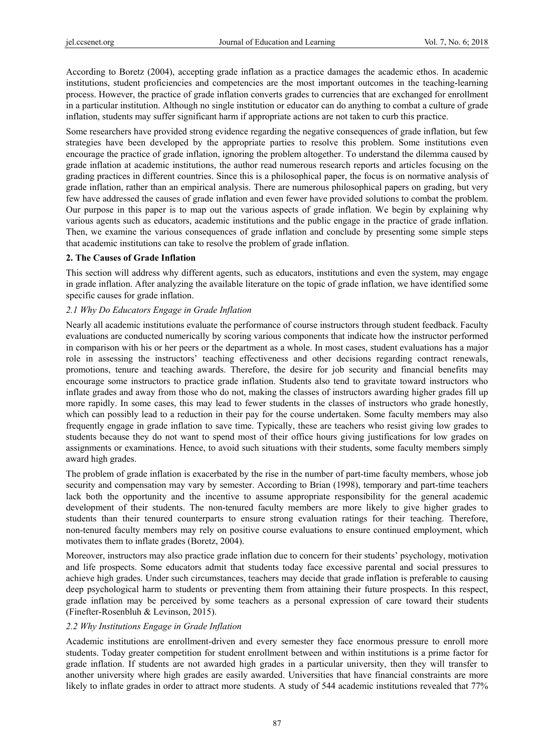According to Boretz (2004), accepting grade inflation as a practice damages the academic ethos. In academic institutions, student proficiencies and competencies are the most important outcomes in the teaching-learning process. However, the practice of grade inflation converts grades to currencies that are exchanged for enrollment in a particular institution. Although no single institution or educator can do anything to combat a culture of grade inflation, students may suffer significant harm if appropriate actions are not taken to curb this practice.

Some researchers have provided strong evidence regarding the negative consequences of grade inflation, but few strategies have been developed by the appropriate parties to resolve this problem. Some institutions even encourage the practice of grade inflation, ignoring the problem altogether. To understand the dilemma caused by grade inflation at academic institutions, the author read numerous research reports and articles focusing on the grading practices in different countries. Since this is a philosophical paper, the focus is on normative analysis of grade inflation, rather than an empirical analysis. There are numerous philosophical papers on grading, but very few have addressed the causes of grade inflation and even fewer have provided solutions to combat the problem. Our purpose in this paper is to map out the various aspects of grade inflation. We begin by explaining why various agents such as educators, academic institutions and the public engage in the practice of grade inflation. Then, we examine the various consequences of grade inflation and conclude by presenting some simple steps that academic institutions can take to resolve the problem of grade inflation.

#### **2. The Causes of Grade Inflation**

This section will address why different agents, such as educators, institutions and even the system, may engage in grade inflation. After analyzing the available literature on the topic of grade inflation, we have identified some specific causes for grade inflation.

# *2.1 Why Do Educators Engage in Grade Inflation*

Nearly all academic institutions evaluate the performance of course instructors through student feedback. Faculty evaluations are conducted numerically by scoring various components that indicate how the instructor performed in comparison with his or her peers or the department as a whole. In most cases, student evaluations has a major role in assessing the instructors' teaching effectiveness and other decisions regarding contract renewals, promotions, tenure and teaching awards. Therefore, the desire for job security and financial benefits may encourage some instructors to practice grade inflation. Students also tend to gravitate toward instructors who inflate grades and away from those who do not, making the classes of instructors awarding higher grades fill up more rapidly. In some cases, this may lead to fewer students in the classes of instructors who grade honestly, which can possibly lead to a reduction in their pay for the course undertaken. Some faculty members may also frequently engage in grade inflation to save time. Typically, these are teachers who resist giving low grades to students because they do not want to spend most of their office hours giving justifications for low grades on assignments or examinations. Hence, to avoid such situations with their students, some faculty members simply award high grades.

The problem of grade inflation is exacerbated by the rise in the number of part-time faculty members, whose job security and compensation may vary by semester. According to Brian (1998), temporary and part-time teachers lack both the opportunity and the incentive to assume appropriate responsibility for the general academic development of their students. The non-tenured faculty members are more likely to give higher grades to students than their tenured counterparts to ensure strong evaluation ratings for their teaching. Therefore, non-tenured faculty members may rely on positive course evaluations to ensure continued employment, which motivates them to inflate grades (Boretz, 2004).

Moreover, instructors may also practice grade inflation due to concern for their students' psychology, motivation and life prospects. Some educators admit that students today face excessive parental and social pressures to achieve high grades. Under such circumstances, teachers may decide that grade inflation is preferable to causing deep psychological harm to students or preventing them from attaining their future prospects. In this respect, grade inflation may be perceived by some teachers as a personal expression of care toward their students (Finefter-Rosenbluh & Levinson, 2015).

#### *2.2 Why Institutions Engage in Grade Inflation*

Academic institutions are enrollment-driven and every semester they face enormous pressure to enroll more students. Today greater competition for student enrollment between and within institutions is a prime factor for grade inflation. If students are not awarded high grades in a particular university, then they will transfer to another university where high grades are easily awarded. Universities that have financial constraints are more likely to inflate grades in order to attract more students. A study of 544 academic institutions revealed that 77%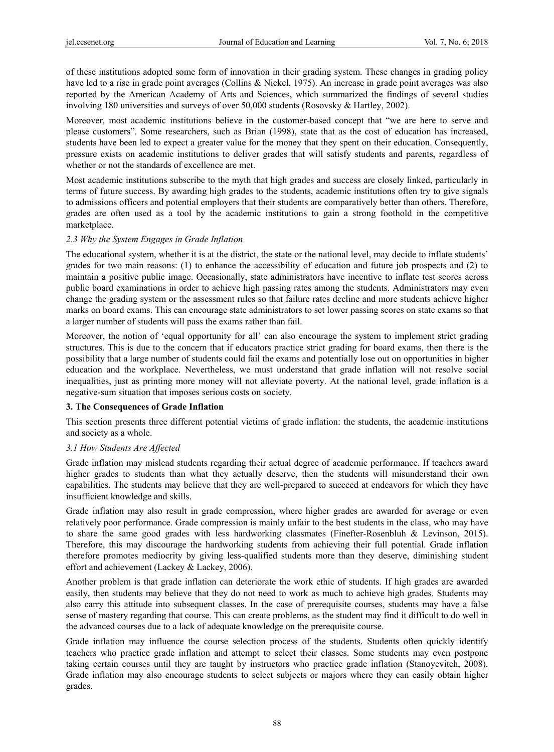of these institutions adopted some form of innovation in their grading system. These changes in grading policy have led to a rise in grade point averages (Collins & Nickel, 1975). An increase in grade point averages was also reported by the American Academy of Arts and Sciences, which summarized the findings of several studies involving 180 universities and surveys of over 50,000 students (Rosovsky & Hartley, 2002).

Moreover, most academic institutions believe in the customer-based concept that "we are here to serve and please customers". Some researchers, such as Brian (1998), state that as the cost of education has increased, students have been led to expect a greater value for the money that they spent on their education. Consequently, pressure exists on academic institutions to deliver grades that will satisfy students and parents, regardless of whether or not the standards of excellence are met.

Most academic institutions subscribe to the myth that high grades and success are closely linked, particularly in terms of future success. By awarding high grades to the students, academic institutions often try to give signals to admissions officers and potential employers that their students are comparatively better than others. Therefore, grades are often used as a tool by the academic institutions to gain a strong foothold in the competitive marketplace.

# *2.3 Why the System Engages in Grade Inflation*

The educational system, whether it is at the district, the state or the national level, may decide to inflate students' grades for two main reasons: (1) to enhance the accessibility of education and future job prospects and (2) to maintain a positive public image. Occasionally, state administrators have incentive to inflate test scores across public board examinations in order to achieve high passing rates among the students. Administrators may even change the grading system or the assessment rules so that failure rates decline and more students achieve higher marks on board exams. This can encourage state administrators to set lower passing scores on state exams so that a larger number of students will pass the exams rather than fail.

Moreover, the notion of 'equal opportunity for all' can also encourage the system to implement strict grading structures. This is due to the concern that if educators practice strict grading for board exams, then there is the possibility that a large number of students could fail the exams and potentially lose out on opportunities in higher education and the workplace. Nevertheless, we must understand that grade inflation will not resolve social inequalities, just as printing more money will not alleviate poverty. At the national level, grade inflation is a negative-sum situation that imposes serious costs on society.

#### **3. The Consequences of Grade Inflation**

This section presents three different potential victims of grade inflation: the students, the academic institutions and society as a whole.

#### *3.1 How Students Are Affected*

Grade inflation may mislead students regarding their actual degree of academic performance. If teachers award higher grades to students than what they actually deserve, then the students will misunderstand their own capabilities. The students may believe that they are well-prepared to succeed at endeavors for which they have insufficient knowledge and skills.

Grade inflation may also result in grade compression, where higher grades are awarded for average or even relatively poor performance. Grade compression is mainly unfair to the best students in the class, who may have to share the same good grades with less hardworking classmates (Finefter-Rosenbluh & Levinson, 2015). Therefore, this may discourage the hardworking students from achieving their full potential. Grade inflation therefore promotes mediocrity by giving less-qualified students more than they deserve, diminishing student effort and achievement (Lackey & Lackey, 2006).

Another problem is that grade inflation can deteriorate the work ethic of students. If high grades are awarded easily, then students may believe that they do not need to work as much to achieve high grades. Students may also carry this attitude into subsequent classes. In the case of prerequisite courses, students may have a false sense of mastery regarding that course. This can create problems, as the student may find it difficult to do well in the advanced courses due to a lack of adequate knowledge on the prerequisite course.

Grade inflation may influence the course selection process of the students. Students often quickly identify teachers who practice grade inflation and attempt to select their classes. Some students may even postpone taking certain courses until they are taught by instructors who practice grade inflation (Stanoyevitch, 2008). Grade inflation may also encourage students to select subjects or majors where they can easily obtain higher grades.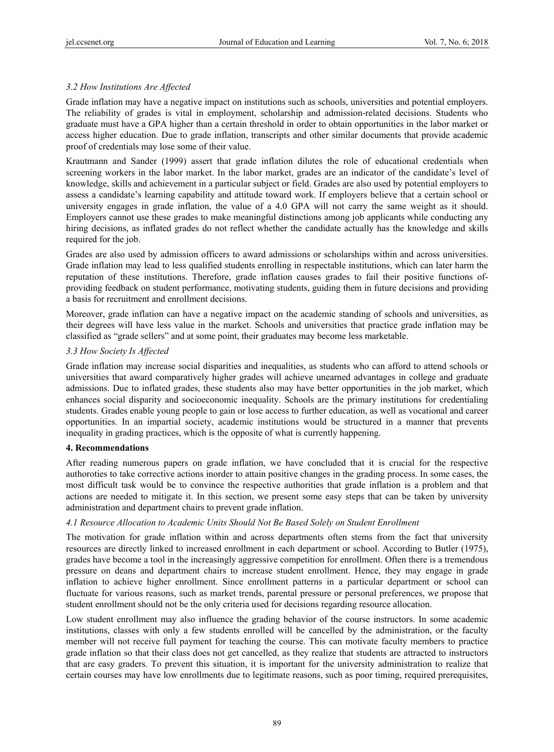# *3.2 How Institutions Are Affected*

Grade inflation may have a negative impact on institutions such as schools, universities and potential employers. The reliability of grades is vital in employment, scholarship and admission-related decisions. Students who graduate must have a GPA higher than a certain threshold in order to obtain opportunities in the labor market or access higher education. Due to grade inflation, transcripts and other similar documents that provide academic proof of credentials may lose some of their value.

Krautmann and Sander (1999) assert that grade inflation dilutes the role of educational credentials when screening workers in the labor market. In the labor market, grades are an indicator of the candidate's level of knowledge, skills and achievement in a particular subject or field. Grades are also used by potential employers to assess a candidate's learning capability and attitude toward work. If employers believe that a certain school or university engages in grade inflation, the value of a 4.0 GPA will not carry the same weight as it should. Employers cannot use these grades to make meaningful distinctions among job applicants while conducting any hiring decisions, as inflated grades do not reflect whether the candidate actually has the knowledge and skills required for the job.

Grades are also used by admission officers to award admissions or scholarships within and across universities. Grade inflation may lead to less qualified students enrolling in respectable institutions, which can later harm the reputation of these institutions. Therefore, grade inflation causes grades to fail their positive functions ofproviding feedback on student performance, motivating students, guiding them in future decisions and providing a basis for recruitment and enrollment decisions.

Moreover, grade inflation can have a negative impact on the academic standing of schools and universities, as their degrees will have less value in the market. Schools and universities that practice grade inflation may be classified as "grade sellers" and at some point, their graduates may become less marketable.

# *3.3 How Society Is Affected*

Grade inflation may increase social disparities and inequalities, as students who can afford to attend schools or universities that award comparatively higher grades will achieve unearned advantages in college and graduate admissions. Due to inflated grades, these students also may have better opportunities in the job market, which enhances social disparity and socioeconomic inequality. Schools are the primary institutions for credentialing students. Grades enable young people to gain or lose access to further education, as well as vocational and career opportunities. In an impartial society, academic institutions would be structured in a manner that prevents inequality in grading practices, which is the opposite of what is currently happening.

#### **4. Recommendations**

After reading numerous papers on grade inflation, we have concluded that it is crucial for the respective authoroties to take corrective actions inorder to attain positive changes in the grading process. In some cases, the most difficult task would be to convince the respective authorities that grade inflation is a problem and that actions are needed to mitigate it. In this section, we present some easy steps that can be taken by university administration and department chairs to prevent grade inflation.

# *4.1 Resource Allocation to Academic Units Should Not Be Based Solely on Student Enrollment*

The motivation for grade inflation within and across departments often stems from the fact that university resources are directly linked to increased enrollment in each department or school. According to Butler (1975), grades have become a tool in the increasingly aggressive competition for enrollment. Often there is a tremendous pressure on deans and department chairs to increase student enrollment. Hence, they may engage in grade inflation to achieve higher enrollment. Since enrollment patterns in a particular department or school can fluctuate for various reasons, such as market trends, parental pressure or personal preferences, we propose that student enrollment should not be the only criteria used for decisions regarding resource allocation.

Low student enrollment may also influence the grading behavior of the course instructors. In some academic institutions, classes with only a few students enrolled will be cancelled by the administration, or the faculty member will not receive full payment for teaching the course. This can motivate faculty members to practice grade inflation so that their class does not get cancelled, as they realize that students are attracted to instructors that are easy graders. To prevent this situation, it is important for the university administration to realize that certain courses may have low enrollments due to legitimate reasons, such as poor timing, required prerequisites,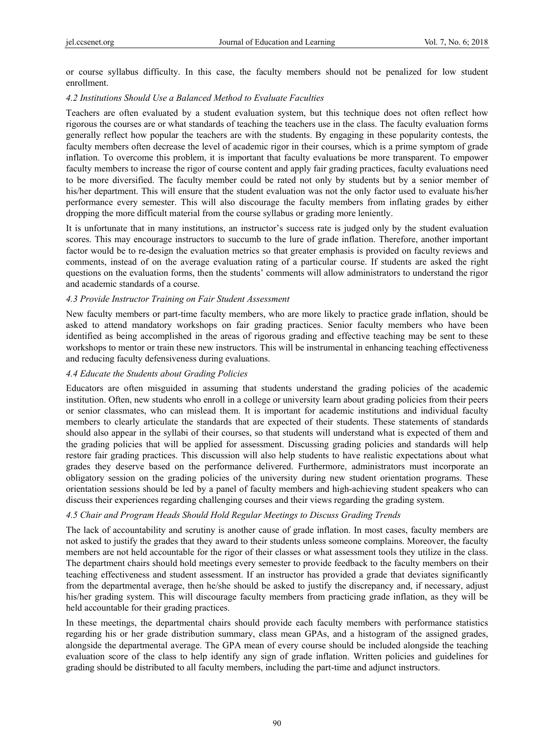or course syllabus difficulty. In this case, the faculty members should not be penalized for low student enrollment.

# *4.2 Institutions Should Use a Balanced Method to Evaluate Faculties*

Teachers are often evaluated by a student evaluation system, but this technique does not often reflect how rigorous the courses are or what standards of teaching the teachers use in the class. The faculty evaluation forms generally reflect how popular the teachers are with the students. By engaging in these popularity contests, the faculty members often decrease the level of academic rigor in their courses, which is a prime symptom of grade inflation. To overcome this problem, it is important that faculty evaluations be more transparent. To empower faculty members to increase the rigor of course content and apply fair grading practices, faculty evaluations need to be more diversified. The faculty member could be rated not only by students but by a senior member of his/her department. This will ensure that the student evaluation was not the only factor used to evaluate his/her performance every semester. This will also discourage the faculty members from inflating grades by either dropping the more difficult material from the course syllabus or grading more leniently.

It is unfortunate that in many institutions, an instructor's success rate is judged only by the student evaluation scores. This may encourage instructors to succumb to the lure of grade inflation. Therefore, another important factor would be to re-design the evaluation metrics so that greater emphasis is provided on faculty reviews and comments, instead of on the average evaluation rating of a particular course. If students are asked the right questions on the evaluation forms, then the students' comments will allow administrators to understand the rigor and academic standards of a course.

# *4.3 Provide Instructor Training on Fair Student Assessment*

New faculty members or part-time faculty members, who are more likely to practice grade inflation, should be asked to attend mandatory workshops on fair grading practices. Senior faculty members who have been identified as being accomplished in the areas of rigorous grading and effective teaching may be sent to these workshops to mentor or train these new instructors. This will be instrumental in enhancing teaching effectiveness and reducing faculty defensiveness during evaluations.

# *4.4 Educate the Students about Grading Policies*

Educators are often misguided in assuming that students understand the grading policies of the academic institution. Often, new students who enroll in a college or university learn about grading policies from their peers or senior classmates, who can mislead them. It is important for academic institutions and individual faculty members to clearly articulate the standards that are expected of their students. These statements of standards should also appear in the syllabi of their courses, so that students will understand what is expected of them and the grading policies that will be applied for assessment. Discussing grading policies and standards will help restore fair grading practices. This discussion will also help students to have realistic expectations about what grades they deserve based on the performance delivered. Furthermore, administrators must incorporate an obligatory session on the grading policies of the university during new student orientation programs. These orientation sessions should be led by a panel of faculty members and high-achieving student speakers who can discuss their experiences regarding challenging courses and their views regarding the grading system.

#### *4.5 Chair and Program Heads Should Hold Regular Meetings to Discuss Grading Trends*

The lack of accountability and scrutiny is another cause of grade inflation. In most cases, faculty members are not asked to justify the grades that they award to their students unless someone complains. Moreover, the faculty members are not held accountable for the rigor of their classes or what assessment tools they utilize in the class. The department chairs should hold meetings every semester to provide feedback to the faculty members on their teaching effectiveness and student assessment. If an instructor has provided a grade that deviates significantly from the departmental average, then he/she should be asked to justify the discrepancy and, if necessary, adjust his/her grading system. This will discourage faculty members from practicing grade inflation, as they will be held accountable for their grading practices.

In these meetings, the departmental chairs should provide each faculty members with performance statistics regarding his or her grade distribution summary, class mean GPAs, and a histogram of the assigned grades, alongside the departmental average. The GPA mean of every course should be included alongside the teaching evaluation score of the class to help identify any sign of grade inflation. Written policies and guidelines for grading should be distributed to all faculty members, including the part-time and adjunct instructors.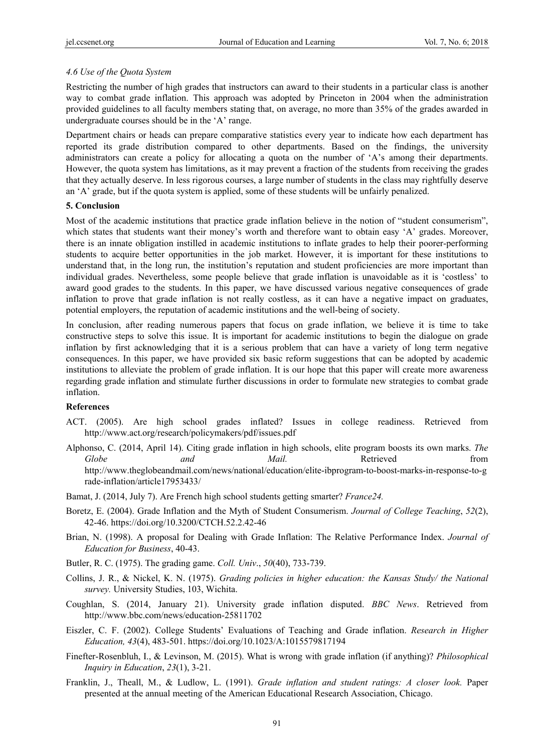# *4.6 Use of the Quota System*

Restricting the number of high grades that instructors can award to their students in a particular class is another way to combat grade inflation. This approach was adopted by Princeton in 2004 when the administration provided guidelines to all faculty members stating that, on average, no more than 35% of the grades awarded in undergraduate courses should be in the 'A' range.

Department chairs or heads can prepare comparative statistics every year to indicate how each department has reported its grade distribution compared to other departments. Based on the findings, the university administrators can create a policy for allocating a quota on the number of 'A's among their departments. However, the quota system has limitations, as it may prevent a fraction of the students from receiving the grades that they actually deserve. In less rigorous courses, a large number of students in the class may rightfully deserve an 'A' grade, but if the quota system is applied, some of these students will be unfairly penalized.

# **5. Conclusion**

Most of the academic institutions that practice grade inflation believe in the notion of "student consumerism", which states that students want their money's worth and therefore want to obtain easy 'A' grades. Moreover, there is an innate obligation instilled in academic institutions to inflate grades to help their poorer-performing students to acquire better opportunities in the job market. However, it is important for these institutions to understand that, in the long run, the institution's reputation and student proficiencies are more important than individual grades. Nevertheless, some people believe that grade inflation is unavoidable as it is 'costless' to award good grades to the students. In this paper, we have discussed various negative consequences of grade inflation to prove that grade inflation is not really costless, as it can have a negative impact on graduates, potential employers, the reputation of academic institutions and the well-being of society.

In conclusion, after reading numerous papers that focus on grade inflation, we believe it is time to take constructive steps to solve this issue. It is important for academic institutions to begin the dialogue on grade inflation by first acknowledging that it is a serious problem that can have a variety of long term negative consequences. In this paper, we have provided six basic reform suggestions that can be adopted by academic institutions to alleviate the problem of grade inflation. It is our hope that this paper will create more awareness regarding grade inflation and stimulate further discussions in order to formulate new strategies to combat grade inflation.

#### **References**

- ACT. (2005). Are high school grades inflated? Issues in college readiness. Retrieved from http://www.act.org/research/policymakers/pdf/issues.pdf
- Alphonso, C. (2014, April 14). Citing grade inflation in high schools, elite program boosts its own marks. *The Globe and Mail.* Retrieved from http://www.theglobeandmail.com/news/national/education/elite-ibprogram-to-boost-marks-in-response-to-g rade-inflation/article17953433/
- Bamat, J. (2014, July 7). Are French high school students getting smarter? *France24.*
- Boretz, E. (2004). Grade Inflation and the Myth of Student Consumerism. *Journal of College Teaching*, *52*(2), 42-46. https://doi.org/10.3200/CTCH.52.2.42-46
- Brian, N. (1998). A proposal for Dealing with Grade Inflation: The Relative Performance Index. *Journal of Education for Business*, 40-43.
- Butler, R. C. (1975). The grading game. *Coll. Univ*., *50*(40), 733-739.
- Collins, J. R., & Nickel, K. N. (1975). *Grading policies in higher education: the Kansas Study/ the National survey.* University Studies, 103, Wichita.
- Coughlan, S. (2014, January 21). University grade inflation disputed. *BBC News*. Retrieved from http://www.bbc.com/news/education-25811702
- Eiszler, C. F. (2002). College Students' Evaluations of Teaching and Grade inflation. *Research in Higher Education, 43*(4), 483-501. https://doi.org/10.1023/A:1015579817194
- Finefter-Rosenbluh, I., & Levinson, M. (2015). What is wrong with grade inflation (if anything)? *Philosophical Inquiry in Education*, *23*(1), 3-21.
- Franklin, J., Theall, M., & Ludlow, L. (1991). *Grade inflation and student ratings: A closer look.* Paper presented at the annual meeting of the American Educational Research Association, Chicago.